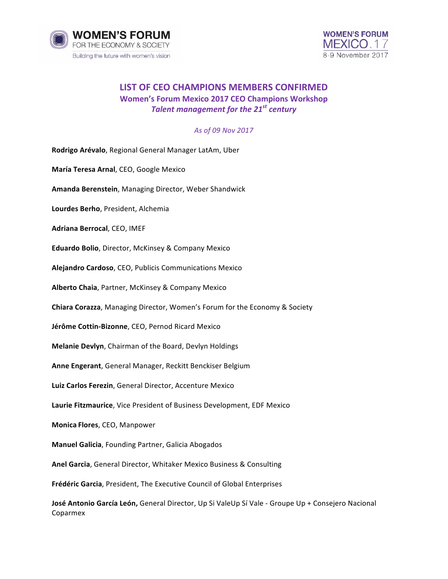



## **LIST OF CEO CHAMPIONS MEMBERS CONFIRMED Women's Forum Mexico 2017 CEO Champions Workshop** *Talent management for the 21<sup>st</sup> century*

## *As of 09 Nov 2017*

**Rodrigo Arévalo**, Regional General Manager LatAm, Uber **María Teresa Arnal, CEO, Google Mexico** Amanda Berenstein, Managing Director, Weber Shandwick Lourdes Berho, President, Alchemia **Adriana Berrocal, CEO, IMEF Eduardo Bolio**, Director, McKinsey & Company Mexico **Alejandro Cardoso**, CEO, Publicis Communications Mexico **Alberto Chaia**, Partner, McKinsey & Company Mexico **Chiara Corazza**, Managing Director, Women's Forum for the Economy & Society **Jérôme Cottin-Bizonne, CEO, Pernod Ricard Mexico Melanie Devlyn**, Chairman of the Board, Devlyn Holdings Anne Engerant, General Manager, Reckitt Benckiser Belgium **Luiz Carlos Ferezin**, General Director, Accenture Mexico Laurie Fitzmaurice, Vice President of Business Development, EDF Mexico **Monica Flores**, CEO, Manpower **Manuel Galicia**, Founding Partner, Galicia Abogados **Anel Garcia**, General Director, Whitaker Mexico Business & Consulting **Frédéric Garcia**, President, The Executive Council of Global Enterprises **José Antonio García León,** General Director, Up Si ValeUp Sí Vale - Groupe Up + Consejero Nacional Coparmex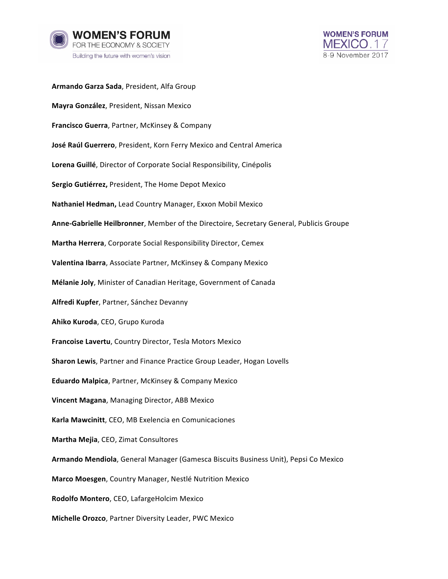



Armando Garza Sada, President, Alfa Group **Mayra González**, President, Nissan Mexico **Francisco Guerra**, Partner, McKinsey & Company **José Raúl Guerrero**, President, Korn Ferry Mexico and Central America Lorena Guillé, Director of Corporate Social Responsibility, Cinépolis Sergio Gutiérrez, President, The Home Depot Mexico **Nathaniel Hedman, Lead Country Manager, Exxon Mobil Mexico** Anne-Gabrielle Heilbronner, Member of the Directoire, Secretary General, Publicis Groupe **Martha Herrera**, Corporate Social Responsibility Director, Cemex **Valentina Ibarra**, Associate Partner, McKinsey & Company Mexico **Mélanie Joly**, Minister of Canadian Heritage, Government of Canada **Alfredi Kupfer, Partner, Sánchez Devanny Ahiko Kuroda**, CEO, Grupo Kuroda **Francoise Lavertu**, Country Director, Tesla Motors Mexico **Sharon Lewis**, Partner and Finance Practice Group Leader, Hogan Lovells **Eduardo Malpica**, Partner, McKinsey & Company Mexico **Vincent Magana**, Managing Director, ABB Mexico **Karla Mawcinitt**, CEO, MB Exelencia en Comunicaciones **Martha Mejia**, CEO, Zimat Consultores **Armando Mendiola**, General Manager (Gamesca Biscuits Business Unit), Pepsi Co Mexico **Marco Moesgen, Country Manager, Nestlé Nutrition Mexico Rodolfo Montero**, CEO, LafargeHolcim Mexico **Michelle Orozco**, Partner Diversity Leader, PWC Mexico